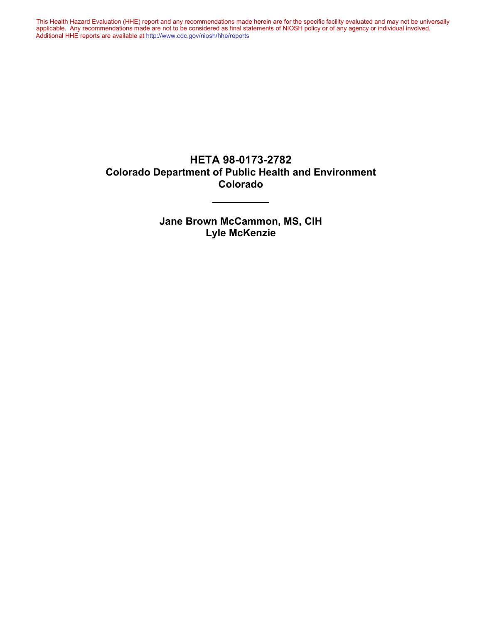This Health Hazard Evaluation (HHE) report and any recommendations made herein are for the specific facility evaluated and may not be universally applicable. Any recommendations made are not to be considered as final statements of NIOSH policy or of any agency or individual involved. Additional HHE reports are available at http://www.cdc.gov/niosh/hhe/reports Additional HHE reports are available at [http://www.cdc.gov/niosh/hhe/reports](http://www.cdc.gov/niosh/hhe/reports/)This Health Hazard Evaluation (HHE) report and any recommendations made herein are for the specific facility evaluated and may not be universally applicable. Any recommendations made are not to be considered as final statements of NIOSH policy or of any agency or individual involved

#### **HETA 98-0173-2782 Colorado Department of Public Health and Environment Colorado**

**Jane Brown McCammon, MS, CIH Lyle McKenzie**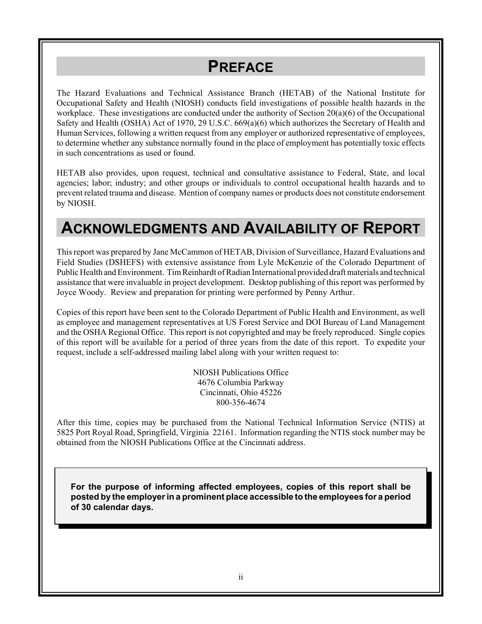# **PREFACE**

The Hazard Evaluations and Technical Assistance Branch (HETAB) of the National Institute for Occupational Safety and Health (NIOSH) conducts field investigations of possible health hazards in the workplace. These investigations are conducted under the authority of Section 20(a)(6) of the Occupational Safety and Health (OSHA) Act of 1970, 29 U.S.C. 669(a)(6) which authorizes the Secretary of Health and Human Services, following a written request from any employer or authorized representative of employees, to determine whether any substance normally found in the place of employment has potentially toxic effects in such concentrations as used or found.

HETAB also provides, upon request, technical and consultative assistance to Federal, State, and local agencies; labor; industry; and other groups or individuals to control occupational health hazards and to prevent related trauma and disease. Mention of company names or products does not constitute endorsement by NIOSH.

## **ACKNOWLEDGMENTS AND AVAILABILITY OF REPORT**

This report was prepared by Jane McCammon of HETAB, Division of Surveillance, Hazard Evaluations and Field Studies (DSHEFS) with extensive assistance from Lyle McKenzie of the Colorado Department of Public Health and Environment. Tim Reinhardt of Radian International provided draft materials and technical assistance that were invaluable in project development. Desktop publishing of this report was performed by Joyce Woody. Review and preparation for printing were performed by Penny Arthur.

Copies of this report have been sent to the Colorado Department of Public Health and Environment, as well as employee and management representatives at US Forest Service and DOI Bureau of Land Management and the OSHA Regional Office. This report is not copyrighted and may be freely reproduced. Single copies of this report will be available for a period of three years from the date of this report. To expedite your request, include a self-addressed mailing label along with your written request to:

> NIOSH Publications Office 4676 Columbia Parkway Cincinnati, Ohio 45226 800-356-4674

After this time, copies may be purchased from the National Technical Information Service (NTIS) at 5825 Port Royal Road, Springfield, Virginia 22161. Information regarding the NTIS stock number may be obtained from the NIOSH Publications Office at the Cincinnati address.

**For the purpose of informing affected employees, copies of this report shall be posted by the employer in a prominent place accessible to the employees for a period of 30 calendar days.**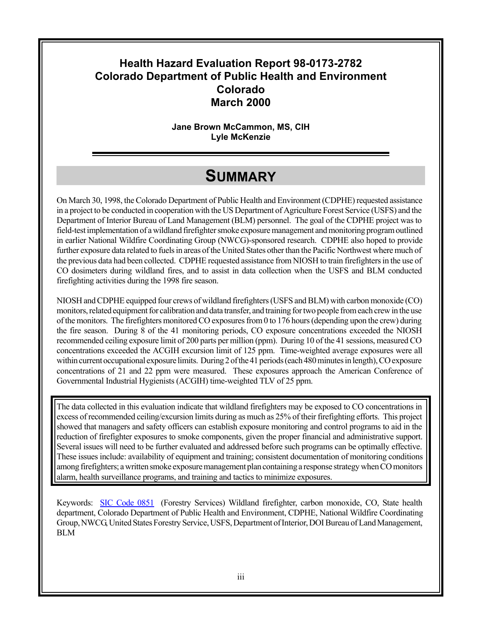## **Health Hazard Evaluation Report 98-0173-2782 Colorado Department of Public Health and Environment Colorado March 2000**

**Jane Brown McCammon, MS, CIH Lyle McKenzie**

## **SUMMARY**

On March 30, 1998, the Colorado Department of Public Health and Environment (CDPHE) requested assistance in a project to be conducted in cooperation with the US Department of Agriculture Forest Service (USFS) and the Department of Interior Bureau of Land Management (BLM) personnel. The goal of the CDPHE project was to field-test implementation of a wildland firefighter smoke exposure management and monitoring program outlined in earlier National Wildfire Coordinating Group (NWCG)-sponsored research. CDPHE also hoped to provide further exposure data related to fuels in areas of the United States other than the Pacific Northwest where much of the previous data had been collected. CDPHE requested assistance from NIOSH to train firefighters in the use of CO dosimeters during wildland fires, and to assist in data collection when the USFS and BLM conducted firefighting activities during the 1998 fire season.

NIOSH and CDPHE equipped four crews of wildland firefighters (USFS and BLM) with carbon monoxide (CO) monitors, related equipment for calibration and data transfer, and training for two people from each crew in the use of the monitors. The firefighters monitored CO exposures from 0 to 176 hours (depending upon the crew) during the fire season. During 8 of the 41 monitoring periods, CO exposure concentrations exceeded the NIOSH recommended ceiling exposure limit of 200 parts per million (ppm). During 10 of the 41 sessions, measured CO concentrations exceeded the ACGIH excursion limit of 125 ppm. Time-weighted average exposures were all within current occupational exposure limits. During 2 of the 41 periods (each 480 minutes in length), CO exposure concentrations of 21 and 22 ppm were measured. These exposures approach the American Conference of Governmental Industrial Hygienists (ACGIH) time-weighted TLV of 25 ppm.

The data collected in this evaluation indicate that wildland firefighters may be exposed to CO concentrations in excess of recommended ceiling/excursion limits during as much as 25% of their firefighting efforts. This project showed that managers and safety officers can establish exposure monitoring and control programs to aid in the reduction of firefighter exposures to smoke components, given the proper financial and administrative support. Several issues will need to be further evaluated and addressed before such programs can be optimally effective. These issues include: availability of equipment and training; consistent documentation of monitoring conditions among firefighters; a written smoke exposure management plan containing a response strategy when CO monitors alarm, health surveillance programs, and training and tactics to minimize exposures.

Keywords: SIC Code 0851 (Forestry Services) Wildland firefighter, carbon monoxide, CO, State health department, Colorado Department of Public Health and Environment, CDPHE, National Wildfire Coordinating Group, NWCG, United States Forestry Service, USFS, Department of Interior, DOI Bureau of Land Management, BLM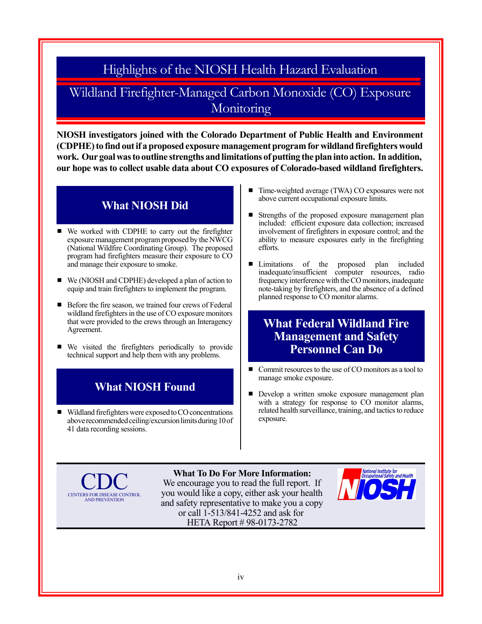Highlights of the NIOSH Health Hazard Evaluation

## Wildland Firefighter-Managed Carbon Monoxide (CO) Exposure **Monitoring**

**NIOSH investigators joined with the Colorado Department of Public Health and Environment (CDPHE) to find out if a proposed exposure management program for wildland firefighters would work. Our goal was to outline strengths and limitations of putting the plan into action. In addition, our hope was to collect usable data about CO exposures of Colorado-based wildland firefighters.**

## **What NIOSH Did**

- We worked with CDPHE to carry out the firefighter exposure management program proposed by the NWCG (National Wildfire Coordinating Group). The proposed program had firefighters measure their exposure to CO and manage their exposure to smoke.
- $\blacksquare$  We (NIOSH and CDPHE) developed a plan of action to equip and train firefighters to implement the program.
- Before the fire season, we trained four crews of Federal wildland firefighters in the use of CO exposure monitors that were provided to the crews through an Interagency Agreement.
- $\blacksquare$  We visited the firefighters periodically to provide technical support and help them with any problems.

#### **What NIOSH Found**

 $\blacksquare$  Wildland firefighters were exposed to CO concentrations above recommended ceiling/excursion limits during 10 of 41 data recording sessions.

- Time-weighted average (TWA) CO exposures were not above current occupational exposure limits.
- Strengths of the proposed exposure management plan included: efficient exposure data collection; increased involvement of firefighters in exposure control; and the ability to measure exposures early in the firefighting efforts.
- **Indeed** Limitations of the proposed plan included inadequate/insufficient computer resources, radio frequency interference with the CO monitors, inadequate note-taking by firefighters, and the absence of a defined planned response to CO monitor alarms.

### **What Federal Wildland Fire Management and Safety Personnel Can Do**

- $\blacksquare$  Commit resources to the use of CO monitors as a tool to manage smoke exposure.
- **Develop a written smoke exposure management plan** with a strategy for response to CO monitor alarms, related health surveillance, training, and tactics to reduce exposure.

CENTERS FOR DISEASE CONTROL AND PREVENTION

**What To Do For More Information:** We encourage you to read the full report. If you would like a copy, either ask your health and safety representative to make you a copy or call 1-513/841-4252 and ask for HETA Report # 98-0173-2782

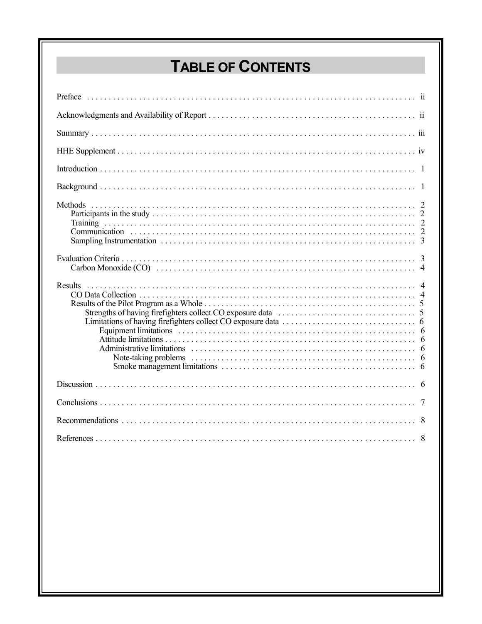# **TABLE OF CONTENTS**

| Results<br>Equipment limitations in the contract of the contract of the contract of the contract of the contract of the contract of the contract of the contract of the contract of the contract of the contract of the contract of the c |
|-------------------------------------------------------------------------------------------------------------------------------------------------------------------------------------------------------------------------------------------|
|                                                                                                                                                                                                                                           |
|                                                                                                                                                                                                                                           |
|                                                                                                                                                                                                                                           |
|                                                                                                                                                                                                                                           |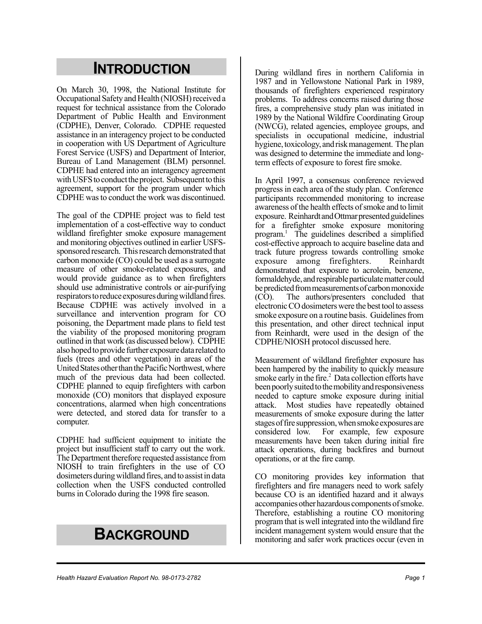## **INTRODUCTION**

On March 30, 1998, the National Institute for Occupational Safety and Health (NIOSH) received a request for technical assistance from the Colorado Department of Public Health and Environment (CDPHE), Denver, Colorado. CDPHE requested assistance in an interagency project to be conducted in cooperation with US Department of Agriculture Forest Service (USFS) and Department of Interior, Bureau of Land Management (BLM) personnel. CDPHE had entered into an interagency agreement with USFS to conduct the project. Subsequent to this agreement, support for the program under which CDPHE was to conduct the work was discontinued.

The goal of the CDPHE project was to field test implementation of a cost-effective way to conduct wildland firefighter smoke exposure management and monitoring objectives outlined in earlier USFSsponsored research. This research demonstrated that carbon monoxide (CO) could be used as a surrogate measure of other smoke-related exposures, and would provide guidance as to when firefighters should use administrative controls or air-purifying respirators to reduce exposures during wildland fires. Because CDPHE was actively involved in a surveillance and intervention program for CO poisoning, the Department made plans to field test the viability of the proposed monitoring program outlined in that work (as discussed below). CDPHE also hoped to provide further exposure data related to fuels (trees and other vegetation) in areas of the United States other than the Pacific Northwest, where much of the previous data had been collected. CDPHE planned to equip firefighters with carbon monoxide (CO) monitors that displayed exposure concentrations, alarmed when high concentrations were detected, and stored data for transfer to a computer.

CDPHE had sufficient equipment to initiate the project but insufficient staff to carry out the work. The Department therefore requested assistance from NIOSH to train firefighters in the use of CO dosimeters during wildland fires, and to assist in data collection when the USFS conducted controlled burns in Colorado during the 1998 fire season.

# **BACKGROUND**

During wildland fires in northern California in 1987 and in Yellowstone National Park in 1989, thousands of firefighters experienced respiratory problems. To address concerns raised during those fires, a comprehensive study plan was initiated in 1989 by the National Wildfire Coordinating Group (NWCG), related agencies, employee groups, and specialists in occupational medicine, industrial hygiene, toxicology, and risk management. The plan was designed to determine the immediate and longterm effects of exposure to forest fire smoke.

In April 1997, a consensus conference reviewed progress in each area of the study plan. Conference participants recommended monitoring to increase awareness of the health effects of smoke and to limit exposure. Reinhardt and Ottmar presented guidelines for a firefighter smoke exposure monitoring program.1 The guidelines described a simplified cost-effective approach to acquire baseline data and track future progress towards controlling smoke exposure among firefighters. Reinhardt demonstrated that exposure to acrolein, benzene, formaldehyde, and respirable particulate matter could be predicted from measurements of carbon monoxide (CO). The authors/presenters concluded that electronic CO dosimeters were the best tool to assess smoke exposure on a routine basis. Guidelines from this presentation, and other direct technical input from Reinhardt, were used in the design of the CDPHE/NIOSH protocol discussed here.

Measurement of wildland firefighter exposure has been hampered by the inability to quickly measure smoke early in the fire.<sup>2</sup> Data collection efforts have been poorly suited to the mobility and responsiveness needed to capture smoke exposure during initial attack. Most studies have repeatedly obtained measurements of smoke exposure during the latter stages of fire suppression, when smoke exposures are considered low. For example, few exposure measurements have been taken during initial fire attack operations, during backfires and burnout operations, or at the fire camp.

CO monitoring provides key information that firefighters and fire managers need to work safely because CO is an identified hazard and it always accompanies other hazardous components of smoke. Therefore, establishing a routine CO monitoring program that is well integrated into the wildland fire incident management system would ensure that the monitoring and safer work practices occur (even in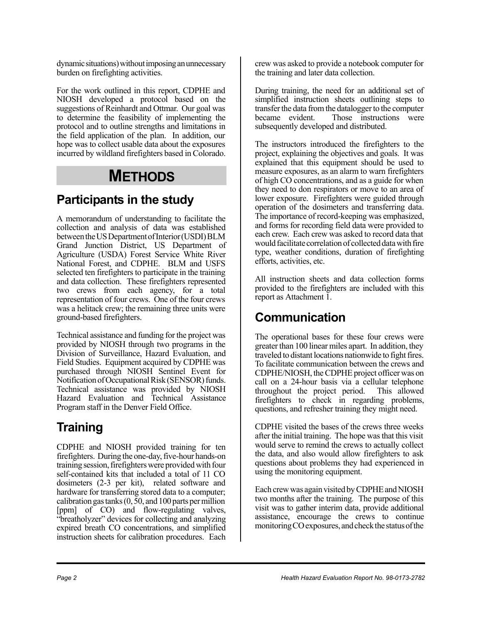dynamic situations) without imposing an unnecessary burden on firefighting activities.

For the work outlined in this report, CDPHE and NIOSH developed a protocol based on the suggestions of Reinhardt and Ottmar. Our goal was to determine the feasibility of implementing the protocol and to outline strengths and limitations in the field application of the plan. In addition, our hope was to collect usable data about the exposures incurred by wildland firefighters based in Colorado.

## **METHODS**

## **Participants in the study**

A memorandum of understanding to facilitate the collection and analysis of data was established between the US Department of Interior (USDI) BLM Grand Junction District, US Department of Agriculture (USDA) Forest Service White River National Forest, and CDPHE. BLM and USFS selected ten firefighters to participate in the training and data collection. These firefighters represented two crews from each agency, for a total representation of four crews. One of the four crews was a helitack crew; the remaining three units were ground-based firefighters.

Technical assistance and funding for the project was provided by NIOSH through two programs in the Division of Surveillance, Hazard Evaluation, and Field Studies. Equipment acquired by CDPHE was purchased through NIOSH Sentinel Event for Notification of Occupational Risk (SENSOR) funds. Technical assistance was provided by NIOSH Hazard Evaluation and Technical Assistance Program staff in the Denver Field Office.

## **Training**

CDPHE and NIOSH provided training for ten firefighters. During the one-day, five-hour hands-on training session, firefighters were provided with four self-contained kits that included a total of 11 CO dosimeters (2-3 per kit), related software and hardware for transferring stored data to a computer; calibration gas tanks (0, 50, and 100 parts per million [ppm] of CO) and flow-regulating valves, "breatholyzer" devices for collecting and analyzing expired breath CO concentrations, and simplified instruction sheets for calibration procedures. Each

crew was asked to provide a notebook computer for the training and later data collection.

During training, the need for an additional set of simplified instruction sheets outlining steps to transfer the data from the datalogger to the computer became evident. Those instructions were subsequently developed and distributed.

The instructors introduced the firefighters to the project, explaining the objectives and goals. It was explained that this equipment should be used to measure exposures, as an alarm to warn firefighters of high CO concentrations, and as a guide for when they need to don respirators or move to an area of lower exposure. Firefighters were guided through operation of the dosimeters and transferring data. The importance of record-keeping was emphasized, and forms for recording field data were provided to each crew. Each crew was asked to record data that would facilitate correlation of collected data with fire type, weather conditions, duration of firefighting efforts, activities, etc.

All instruction sheets and data collection forms provided to the firefighters are included with this report as Attachment 1.

## **Communication**

The operational bases for these four crews were greater than 100 linear miles apart. In addition, they traveled to distant locations nationwide to fight fires. To facilitate communication between the crews and CDPHE/NIOSH, the CDPHE project officer was on call on a 24-hour basis via a cellular telephone throughout the project period. This allowed firefighters to check in regarding problems, questions, and refresher training they might need.

CDPHE visited the bases of the crews three weeks after the initial training. The hope was that this visit would serve to remind the crews to actually collect the data, and also would allow firefighters to ask questions about problems they had experienced in using the monitoring equipment.

Each crew was again visited by CDPHE and NIOSH two months after the training. The purpose of this visit was to gather interim data, provide additional assistance, encourage the crews to continue monitoring CO exposures, and check the status of the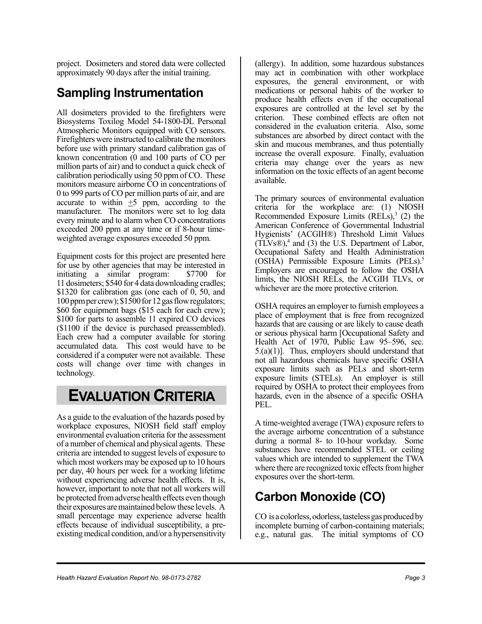project. Dosimeters and stored data were collected approximately 90 days after the initial training.

## **Sampling Instrumentation**

All dosimeters provided to the firefighters were Biosystems Toxilog Model 54-1800-DL Personal Atmospheric Monitors equipped with CO sensors. Firefighters were instructed to calibrate the monitors before use with primary standard calibration gas of known concentration (0 and 100 parts of CO per million parts of air) and to conduct a quick check of calibration periodically using 50 ppm of CO. These monitors measure airborne CO in concentrations of 0 to 999 parts of CO per million parts of air, and are accurate to within  $\pm 5$  ppm, according to the manufacturer. The monitors were set to log data every minute and to alarm when CO concentrations exceeded 200 ppm at any time or if 8-hour timeweighted average exposures exceeded 50 ppm.

Equipment costs for this project are presented here for use by other agencies that may be interested in initiating a similar program: \$7700 for 11 dosimeters; \$540 for 4 data downloading cradles; \$1320 for calibration gas (one each of 0, 50, and 100 ppm per crew); \$1500 for 12 gas flow regulators; \$60 for equipment bags (\$15 each for each crew); \$100 for parts to assemble 11 expired CO devices (\$1100 if the device is purchased preassembled). Each crew had a computer available for storing accumulated data. This cost would have to be considered if a computer were not available. These costs will change over time with changes in technology.

## **EVALUATION CRITERIA**

As a guide to the evaluation of the hazards posed by workplace exposures, NIOSH field staff employ environmental evaluation criteria for the assessment of a number of chemical and physical agents. These criteria are intended to suggest levels of exposure to which most workers may be exposed up to 10 hours per day, 40 hours per week for a working lifetime without experiencing adverse health effects. It is, however, important to note that not all workers will be protected from adverse health effects even though their exposures are maintained below these levels. A small percentage may experience adverse health effects because of individual susceptibility, a preexisting medical condition, and/or a hypersensitivity

(allergy). In addition, some hazardous substances may act in combination with other workplace exposures, the general environment, or with medications or personal habits of the worker to produce health effects even if the occupational exposures are controlled at the level set by the criterion. These combined effects are often not considered in the evaluation criteria. Also, some substances are absorbed by direct contact with the skin and mucous membranes, and thus potentially increase the overall exposure. Finally, evaluation criteria may change over the years as new information on the toxic effects of an agent become available.

The primary sources of environmental evaluation criteria for the workplace are: (1) NIOSH Recommended Exposure Limits  $(RE\dot{L}s)$ ,<sup>3</sup> (2) the American Conference of Governmental Industrial Hygienists' (ACGIH®) Threshold Limit Values  $(T\text{LVs}\text{\textcircled{R}})$ ,<sup>4</sup> and (3) the U.S. Department of Labor, Occupational Safety and Health Administration (OSHA) Permissible Exposure Limits (PELs).5 Employers are encouraged to follow the OSHA limits, the NIOSH RELs, the ACGIH TLVs, or whichever are the more protective criterion.

OSHA requires an employer to furnish employees a place of employment that is free from recognized hazards that are causing or are likely to cause death or serious physical harm [Occupational Safety and Health Act of 1970, Public Law 95–596, sec. 5.(a)(1)]. Thus, employers should understand that not all hazardous chemicals have specific OSHA exposure limits such as PELs and short-term exposure limits (STELs). An employer is still required by OSHA to protect their employees from hazards, even in the absence of a specific OSHA PEL.

A time-weighted average (TWA) exposure refers to the average airborne concentration of a substance during a normal 8- to 10-hour workday. Some substances have recommended STEL or ceiling values which are intended to supplement the TWA where there are recognized toxic effects from higher exposures over the short-term.

## **Carbon Monoxide (CO)**

CO is a colorless, odorless, tasteless gas produced by incomplete burning of carbon-containing materials; e.g., natural gas. The initial symptoms of CO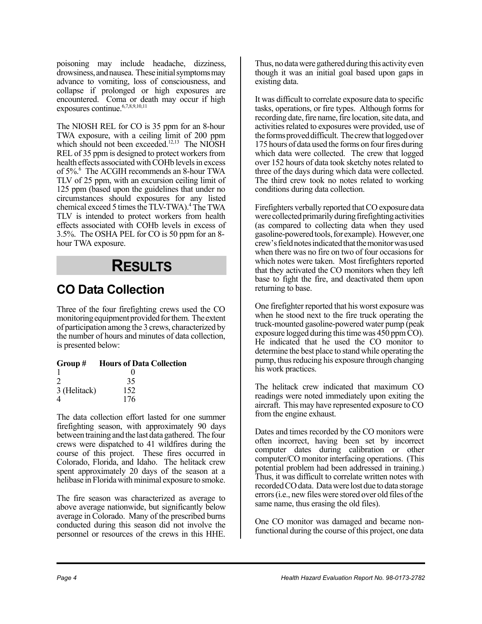poisoning may include headache, dizziness, drowsiness, and nausea. These initial symptoms may advance to vomiting, loss of consciousness, and collapse if prolonged or high exposures are encountered. Coma or death may occur if high exposures continue.<sup>6,7,8,9,10,11</sup>

The NIOSH REL for CO is 35 ppm for an 8-hour TWA exposure, with a ceiling limit of 200 ppm which should not been exceeded.<sup>12,13</sup> The NIOSH REL of 35 ppm is designed to protect workers from health effects associated with COHb levels in excess of 5%.6 The ACGIH recommends an 8-hour TWA TLV of 25 ppm, with an excursion ceiling limit of 125 ppm (based upon the guidelines that under no circumstances should exposures for any listed chemical exceed 5 times the TLV-TWA).<sup>4</sup> The TWA TLV is intended to protect workers from health effects associated with COHb levels in excess of 3.5%. The OSHA PEL for CO is 50 ppm for an 8 hour TWA exposure.

# **RESULTS**

## **CO Data Collection**

Three of the four firefighting crews used the CO monitoring equipment provided for them. The extent of participation among the 3 crews, characterized by the number of hours and minutes of data collection, is presented below:

#### **Group # Hours of Data Collection**

|                | $\mathbf{\Omega}$ |
|----------------|-------------------|
| $\overline{2}$ | 35                |
| 3 (Helitack)   | 152               |
| 4              | 176               |

The data collection effort lasted for one summer firefighting season, with approximately 90 days between training and the last data gathered. The four crews were dispatched to 41 wildfires during the course of this project. These fires occurred in Colorado, Florida, and Idaho. The helitack crew spent approximately 20 days of the season at a helibase in Florida with minimal exposure to smoke.

The fire season was characterized as average to above average nationwide, but significantly below average in Colorado. Many of the prescribed burns conducted during this season did not involve the personnel or resources of the crews in this HHE. Thus, no data were gathered during this activity even though it was an initial goal based upon gaps in existing data.

It was difficult to correlate exposure data to specific tasks, operations, or fire types. Although forms for recording date, fire name, fire location, site data, and activities related to exposures were provided, use of the forms proved difficult. The crew that logged over 175 hours of data used the forms on four fires during which data were collected. The crew that logged over 152 hours of data took sketchy notes related to three of the days during which data were collected. The third crew took no notes related to working conditions during data collection.

Firefighters verbally reported that CO exposure data were collected primarily during firefighting activities (as compared to collecting data when they used gasoline-powered tools, for example). However, one crew's field notes indicated that the monitor was used when there was no fire on two of four occasions for which notes were taken. Most firefighters reported that they activated the CO monitors when they left base to fight the fire, and deactivated them upon returning to base.

One firefighter reported that his worst exposure was when he stood next to the fire truck operating the truck-mounted gasoline-powered water pump (peak exposure logged during this time was 450 ppm CO). He indicated that he used the CO monitor to determine the best place to stand while operating the pump, thus reducing his exposure through changing his work practices.

The helitack crew indicated that maximum CO readings were noted immediately upon exiting the aircraft. This may have represented exposure to CO from the engine exhaust.

Dates and times recorded by the CO monitors were often incorrect, having been set by incorrect computer dates during calibration or other computer/CO monitor interfacing operations. (This potential problem had been addressed in training.) Thus, it was difficult to correlate written notes with recorded CO data. Data were lost due to data storage errors (i.e., new files were stored over old files of the same name, thus erasing the old files).

One CO monitor was damaged and became nonfunctional during the course of this project, one data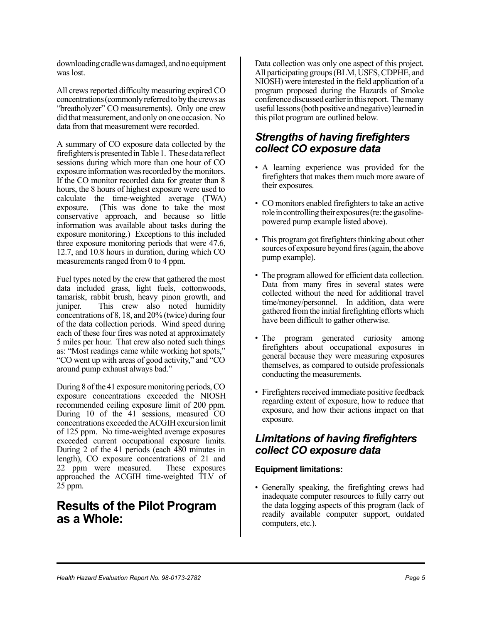downloading cradle was damaged, and no equipment was lost.

All crews reported difficulty measuring expired CO concentrations (commonly referred to by the crews as "breatholyzer" CO measurements). Only one crew did that measurement, and only on one occasion. No data from that measurement were recorded.

A summary of CO exposure data collected by the firefighters is presented in Table 1. These data reflect sessions during which more than one hour of CO exposure information was recorded by the monitors. If the CO monitor recorded data for greater than 8 hours, the 8 hours of highest exposure were used to calculate the time-weighted average (TWA) exposure. (This was done to take the most conservative approach, and because so little information was available about tasks during the exposure monitoring.) Exceptions to this included three exposure monitoring periods that were 47.6, 12.7, and 10.8 hours in duration, during which CO measurements ranged from 0 to 4 ppm.

Fuel types noted by the crew that gathered the most data included grass, light fuels, cottonwoods, tamarisk, rabbit brush, heavy pinon growth, and juniper. This crew also noted humidity concentrations of 8, 18, and 20% (twice) during four of the data collection periods. Wind speed during each of these four fires was noted at approximately 5 miles per hour. That crew also noted such things as: "Most readings came while working hot spots," "CO went up with areas of good activity," and "CO around pump exhaust always bad."

During 8 of the 41 exposure monitoring periods, CO exposure concentrations exceeded the NIOSH recommended ceiling exposure limit of 200 ppm. During 10 of the 41 sessions, measured CO concentrations exceeded the ACGIH excursion limit of 125 ppm. No time-weighted average exposures exceeded current occupational exposure limits. During 2 of the 41 periods (each 480 minutes in length), CO exposure concentrations of 21 and 22 ppm were measured. These exposures approached the ACGIH time-weighted TLV of 25 ppm.

### **Results of the Pilot Program as a Whole:**

Data collection was only one aspect of this project. All participating groups (BLM, USFS, CDPHE, and NIOSH) were interested in the field application of a program proposed during the Hazards of Smoke conference discussed earlier in this report. The many useful lessons (both positive and negative) learned in this pilot program are outlined below.

#### *Strengths of having firefighters collect CO exposure data*

- A learning experience was provided for the firefighters that makes them much more aware of their exposures.
- CO monitors enabled firefighters to take an active role in controlling their exposures (re: the gasolinepowered pump example listed above).
- This program got firefighters thinking about other sources of exposure beyond fires (again, the above pump example).
- The program allowed for efficient data collection. Data from many fires in several states were collected without the need for additional travel time/money/personnel. In addition, data were gathered from the initial firefighting efforts which have been difficult to gather otherwise.
- The program generated curiosity among firefighters about occupational exposures in general because they were measuring exposures themselves, as compared to outside professionals conducting the measurements.
- Firefighters received immediate positive feedback regarding extent of exposure, how to reduce that exposure, and how their actions impact on that exposure.

### *Limitations of having firefighters collect CO exposure data*

#### **Equipment limitations:**

• Generally speaking, the firefighting crews had inadequate computer resources to fully carry out the data logging aspects of this program (lack of readily available computer support, outdated computers, etc.).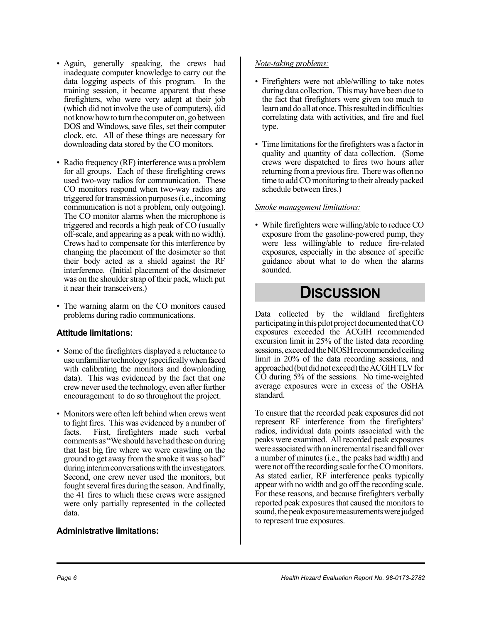- Again, generally speaking, the crews had inadequate computer knowledge to carry out the data logging aspects of this program. In the training session, it became apparent that these firefighters, who were very adept at their job (which did not involve the use of computers), did not know how to turn the computer on, go between DOS and Windows, save files, set their computer clock, etc. All of these things are necessary for downloading data stored by the CO monitors.
- Radio frequency (RF) interference was a problem for all groups. Each of these firefighting crews used two-way radios for communication. These CO monitors respond when two-way radios are triggered for transmission purposes (i.e., incoming communication is not a problem, only outgoing). The CO monitor alarms when the microphone is triggered and records a high peak of CO (usually off-scale, and appearing as a peak with no width). Crews had to compensate for this interference by changing the placement of the dosimeter so that their body acted as a shield against the RF interference. (Initial placement of the dosimeter was on the shoulder strap of their pack, which put it near their transceivers.)
- The warning alarm on the CO monitors caused problems during radio communications.

#### **Attitude limitations:**

- Some of the firefighters displayed a reluctance to use unfamiliar technology (specifically when faced with calibrating the monitors and downloading data). This was evidenced by the fact that one crew never used the technology, even after further encouragement to do so throughout the project.
- Monitors were often left behind when crews went to fight fires. This was evidenced by a number of facts. First, firefighters made such verbal comments as "We should have had these on during that last big fire where we were crawling on the ground to get away from the smoke it was so bad" during interim conversations with the investigators. Second, one crew never used the monitors, but fought several fires during the season. And finally, the 41 fires to which these crews were assigned were only partially represented in the collected data.

#### **Administrative limitations:**

#### *Note-taking problems:*

- Firefighters were not able/willing to take notes during data collection. This may have been due to the fact that firefighters were given too much to learn and do all at once. This resulted in difficulties correlating data with activities, and fire and fuel type.
- Time limitations for the firefighters was a factor in quality and quantity of data collection. (Some crews were dispatched to fires two hours after returning from a previous fire. There was often no time to add CO monitoring to their already packed schedule between fires.)

#### *Smoke management limitations:*

• While firefighters were willing/able to reduce CO exposure from the gasoline-powered pump, they were less willing/able to reduce fire-related exposures, especially in the absence of specific guidance about what to do when the alarms sounded.

## **DISCUSSION**

Data collected by the wildland firefighters participating in this pilot project documented that CO exposures exceeded the ACGIH recommended excursion limit in 25% of the listed data recording sessions, exceeded the NIOSH recommended ceiling limit in 20% of the data recording sessions, and approached (but did not exceed) the ACGIH TLV for CO during 5% of the sessions. No time-weighted average exposures were in excess of the OSHA standard.

To ensure that the recorded peak exposures did not represent RF interference from the firefighters' radios, individual data points associated with the peaks were examined. All recorded peak exposures were associated with an incremental rise and fall over a number of minutes (i.e., the peaks had width) and were not off the recording scale for the CO monitors. As stated earlier, RF interference peaks typically appear with no width and go off the recording scale. For these reasons, and because firefighters verbally reported peak exposures that caused the monitors to sound, the peak exposure measurements were judged to represent true exposures.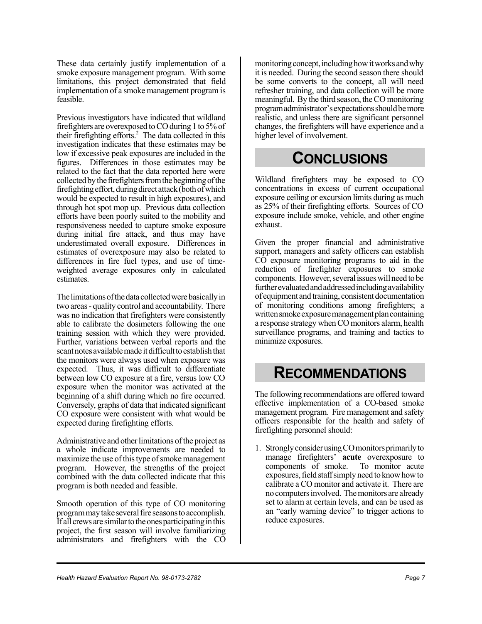These data certainly justify implementation of a smoke exposure management program. With some limitations, this project demonstrated that field implementation of a smoke management program is feasible.

Previous investigators have indicated that wildland firefighters are overexposed to CO during 1 to 5% of their firefighting efforts.<sup>2</sup> The data collected in this investigation indicates that these estimates may be low if excessive peak exposures are included in the figures. Differences in those estimates may be related to the fact that the data reported here were collected by the firefighters from the beginning of the firefighting effort, during direct attack (both of which would be expected to result in high exposures), and through hot spot mop up. Previous data collection efforts have been poorly suited to the mobility and responsiveness needed to capture smoke exposure during initial fire attack, and thus may have underestimated overall exposure. Differences in estimates of overexposure may also be related to differences in fire fuel types, and use of timeweighted average exposures only in calculated estimates.

The limitations of the data collected were basically in two areas - quality control and accountability. There was no indication that firefighters were consistently able to calibrate the dosimeters following the one training session with which they were provided. Further, variations between verbal reports and the scant notes available made it difficult to establish that the monitors were always used when exposure was expected. Thus, it was difficult to differentiate between low CO exposure at a fire, versus low CO exposure when the monitor was activated at the beginning of a shift during which no fire occurred. Conversely, graphs of data that indicated significant CO exposure were consistent with what would be expected during firefighting efforts.

Administrative and other limitations of the project as a whole indicate improvements are needed to maximize the use of this type of smoke management program. However, the strengths of the project combined with the data collected indicate that this program is both needed and feasible.

Smooth operation of this type of CO monitoring program may take several fire seasons to accomplish. If all crews are similar to the ones participating in this project, the first season will involve familiarizing administrators and firefighters with the CO

monitoring concept, including how it works and why it is needed. During the second season there should be some converts to the concept, all will need refresher training, and data collection will be more meaningful. By the third season, the CO monitoring program administrator's expectations should be more realistic, and unless there are significant personnel changes, the firefighters will have experience and a higher level of involvement.

# **CONCLUSIONS**

Wildland firefighters may be exposed to CO concentrations in excess of current occupational exposure ceiling or excursion limits during as much as 25% of their firefighting efforts. Sources of CO exposure include smoke, vehicle, and other engine exhaust.

Given the proper financial and administrative support, managers and safety officers can establish CO exposure monitoring programs to aid in the reduction of firefighter exposures to smoke components. However, several issues will need to be further evaluated and addressed including availability of equipment and training, consistent documentation of monitoring conditions among firefighters; a written smoke exposure management plan containing a response strategy when CO monitors alarm, health surveillance programs, and training and tactics to minimize exposures.

## **RECOMMENDATIONS**

The following recommendations are offered toward effective implementation of a CO-based smoke management program. Fire management and safety officers responsible for the health and safety of firefighting personnel should:

1. Strongly consider using CO monitors primarily to manage firefighters' **acute** overexposure to components of smoke. To monitor acute exposures, field staff simply need to know how to calibrate a CO monitor and activate it. There are no computers involved. The monitors are already set to alarm at certain levels, and can be used as an "early warning device" to trigger actions to reduce exposures.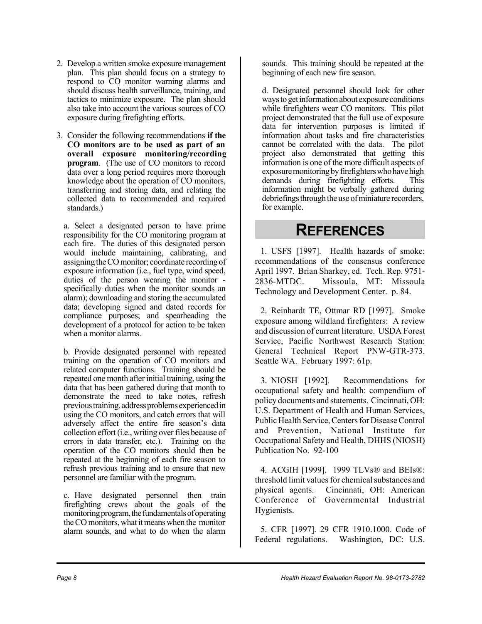- 2. Develop a written smoke exposure management plan. This plan should focus on a strategy to respond to CO monitor warning alarms and should discuss health surveillance, training, and tactics to minimize exposure. The plan should also take into account the various sources of CO exposure during firefighting efforts.
- 3. Consider the following recommendations **if the CO monitors are to be used as part of an overall exposure monitoring/recording program**. (The use of CO monitors to record data over a long period requires more thorough knowledge about the operation of CO monitors, transferring and storing data, and relating the collected data to recommended and required standards.)

a. Select a designated person to have prime responsibility for the CO monitoring program at each fire. The duties of this designated person would include maintaining, calibrating, and assigning the CO monitor; coordinate recording of exposure information (i.e., fuel type, wind speed, duties of the person wearing the monitor specifically duties when the monitor sounds an alarm); downloading and storing the accumulated data; developing signed and dated records for compliance purposes; and spearheading the development of a protocol for action to be taken when a monitor alarms.

b. Provide designated personnel with repeated training on the operation of CO monitors and related computer functions. Training should be repeated one month after initial training, using the data that has been gathered during that month to demonstrate the need to take notes, refresh previous training, address problems experienced in using the CO monitors, and catch errors that will adversely affect the entire fire season's data collection effort (i.e., writing over files because of errors in data transfer, etc.). Training on the operation of the CO monitors should then be repeated at the beginning of each fire season to refresh previous training and to ensure that new personnel are familiar with the program.

c. Have designated personnel then train firefighting crews about the goals of the monitoring program, the fundamentals of operating the CO monitors, what it means when the monitor alarm sounds, and what to do when the alarm

sounds. This training should be repeated at the beginning of each new fire season.

d. Designated personnel should look for other ways to get information about exposure conditions while firefighters wear CO monitors. This pilot project demonstrated that the full use of exposure data for intervention purposes is limited if information about tasks and fire characteristics cannot be correlated with the data. The pilot project also demonstrated that getting this information is one of the more difficult aspects of exposure monitoring by firefighters who have high demands during firefighting efforts. This information might be verbally gathered during debriefings through the use of miniature recorders, for example.

## **REFERENCES**

1. USFS [1997]. Health hazards of smoke: recommendations of the consensus conference April 1997. Brian Sharkey, ed. Tech. Rep. 9751- 2836-MTDC. Missoula, MT: Missoula Technology and Development Center. p. 84.

2. Reinhardt TE, Ottmar RD [1997]. Smoke exposure among wildland firefighters: A review and discussion of current literature. USDA Forest Service, Pacific Northwest Research Station: General Technical Report PNW-GTR-373. Seattle WA. February 1997: 61p.

3. NIOSH [1992]. Recommendations for occupational safety and health: compendium of policy documents and statements. Cincinnati, OH: U.S. Department of Health and Human Services, Public Health Service, Centers for Disease Control and Prevention, National Institute for Occupational Safety and Health, DHHS (NIOSH) Publication No. 92-100

4. ACGIH [1999]. 1999 TLVs® and BEIs®: threshold limit values for chemical substances and physical agents. Cincinnati, OH: American Conference of Governmental Industrial Hygienists.

5. CFR [1997]. 29 CFR 1910.1000. Code of Federal regulations. Washington, DC: U.S.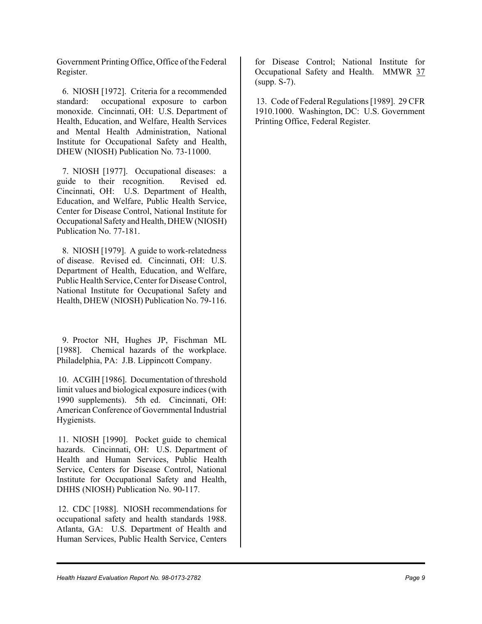Government Printing Office, Office of the Federal Register.

6. NIOSH [1972]. Criteria for a recommended standard: occupational exposure to carbon monoxide. Cincinnati, OH: U.S. Department of Health, Education, and Welfare, Health Services and Mental Health Administration, National Institute for Occupational Safety and Health, DHEW (NIOSH) Publication No. 73-11000.

7. NIOSH [1977]. Occupational diseases: a guide to their recognition. Revised ed. Cincinnati, OH: U.S. Department of Health, Education, and Welfare, Public Health Service, Center for Disease Control, National Institute for Occupational Safety and Health, DHEW (NIOSH) Publication No. 77-181.

8. NIOSH [1979]. A guide to work-relatedness of disease. Revised ed. Cincinnati, OH: U.S. Department of Health, Education, and Welfare, Public Health Service, Center for Disease Control, National Institute for Occupational Safety and Health, DHEW (NIOSH) Publication No. 79-116.

9. Proctor NH, Hughes JP, Fischman ML [1988]. Chemical hazards of the workplace. Philadelphia, PA: J.B. Lippincott Company.

10. ACGIH [1986]. Documentation of threshold limit values and biological exposure indices (with 1990 supplements). 5th ed. Cincinnati, OH: American Conference of Governmental Industrial Hygienists.

11. NIOSH [1990]. Pocket guide to chemical hazards. Cincinnati, OH: U.S. Department of Health and Human Services, Public Health Service, Centers for Disease Control, National Institute for Occupational Safety and Health, DHHS (NIOSH) Publication No. 90-117.

12. CDC [1988]. NIOSH recommendations for occupational safety and health standards 1988. Atlanta, GA: U.S. Department of Health and Human Services, Public Health Service, Centers

for Disease Control; National Institute for Occupational Safety and Health. MMWR 37 (supp. S-7).

13. Code of Federal Regulations [1989]. 29 CFR 1910.1000. Washington, DC: U.S. Government Printing Office, Federal Register.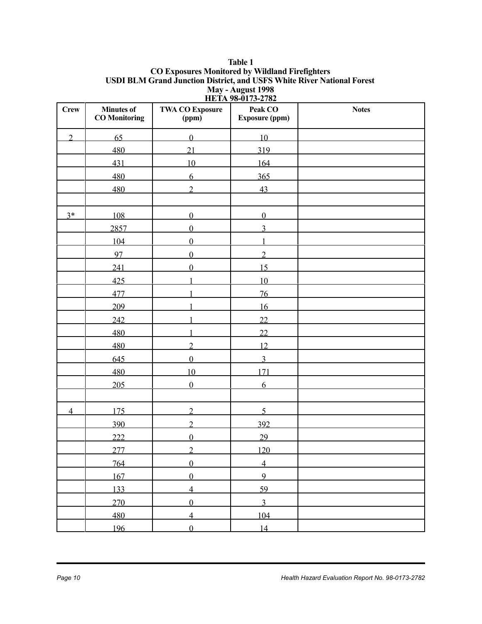#### **Table 1 CO Exposures Monitored by Wildland Firefighters USDI BLM Grand Junction District, and USFS White River National Forest May - August 1998 HETA 98-0173-2782**

| <b>Crew</b>    | <b>Minutes of</b><br><b>CO</b> Monitoring | <b>THEFT</b><br><b>TWA CO Exposure</b><br>(ppm) | $\blacksquare$<br>Peak CO<br><b>Exposure (ppm)</b> | <b>Notes</b> |
|----------------|-------------------------------------------|-------------------------------------------------|----------------------------------------------------|--------------|
| $\overline{2}$ | 65                                        | $\overline{0}$                                  | 10                                                 |              |
|                | 480                                       | 21                                              | 319                                                |              |
|                | 431                                       | 10                                              | 164                                                |              |
|                | 480                                       | 6                                               | 365                                                |              |
|                | 480                                       | $\overline{2}$                                  | 43                                                 |              |
|                |                                           |                                                 |                                                    |              |
| $3*$           | 108                                       | $\overline{0}$                                  | $\mathbf{0}$                                       |              |
|                | 2857                                      | $\theta$                                        | 3                                                  |              |
|                | 104                                       | $\overline{0}$                                  | $\mathbf{1}$                                       |              |
|                | 97                                        | $\mathbf{0}$                                    | $\overline{2}$                                     |              |
|                | 241                                       | $\mathbf{0}$                                    | 15                                                 |              |
|                | 425                                       |                                                 | 10                                                 |              |
|                | 477                                       |                                                 | 76                                                 |              |
|                | 209                                       |                                                 | 16                                                 |              |
|                | 242                                       |                                                 | 22                                                 |              |
|                | 480                                       |                                                 | 22                                                 |              |
|                | 480                                       | $\overline{2}$                                  | 12                                                 |              |
|                | 645                                       | $\overline{0}$                                  | $\overline{3}$                                     |              |
|                | 480                                       | 10                                              | 171                                                |              |
|                | 205                                       | $\theta$                                        | 6                                                  |              |
|                |                                           |                                                 |                                                    |              |
| $\overline{4}$ | 175                                       | $\overline{2}$                                  | 5                                                  |              |
|                | 390                                       | $\overline{2}$                                  | 392                                                |              |
|                | 222                                       | $\boldsymbol{0}$                                | 29                                                 |              |
|                | 277                                       | $\overline{2}$                                  | 120                                                |              |
|                | 764                                       | $\overline{0}$                                  | $\overline{4}$                                     |              |
|                | 167                                       | $\overline{0}$                                  | 9                                                  |              |
|                | 133                                       | $\overline{4}$                                  | 59                                                 |              |
|                | 270                                       | $\overline{0}$                                  | $\overline{3}$                                     |              |
|                | 480                                       | $\overline{4}$                                  | 104                                                |              |
|                | 196                                       | $\overline{0}$                                  | 14                                                 |              |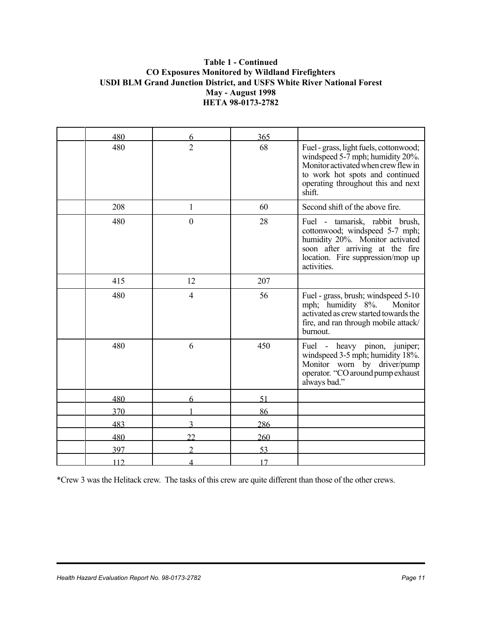#### **Table 1 - Continued CO Exposures Monitored by Wildland Firefighters USDI BLM Grand Junction District, and USFS White River National Forest May - August 1998 HETA 98-0173-2782**

| 480 | 6              | 365 |                                                                                                                                                                                                      |
|-----|----------------|-----|------------------------------------------------------------------------------------------------------------------------------------------------------------------------------------------------------|
| 480 | $\overline{2}$ | 68  | Fuel - grass, light fuels, cottonwood;<br>windspeed 5-7 mph; humidity 20%.<br>Monitor activated when crew flew in<br>to work hot spots and continued<br>operating throughout this and next<br>shift. |
| 208 | $\mathbf{1}$   | 60  | Second shift of the above fire.                                                                                                                                                                      |
| 480 | $\overline{0}$ | 28  | Fuel - tamarisk, rabbit brush,<br>cottonwood; windspeed 5-7 mph;<br>humidity 20%. Monitor activated<br>soon after arriving at the fire<br>location. Fire suppression/mop up<br>activities.           |
| 415 | 12             | 207 |                                                                                                                                                                                                      |
| 480 | $\overline{4}$ | 56  | Fuel - grass, brush; windspeed 5-10<br>mph; humidity 8%.<br>Monitor<br>activated as crew started towards the<br>fire, and ran through mobile attack/<br>burnout.                                     |
| 480 | 6              | 450 | Fuel - heavy pinon, juniper;<br>windspeed 3-5 mph; humidity 18%.<br>Monitor worn by driver/pump<br>operator. "CO around pump exhaust<br>always bad."                                                 |
| 480 | 6              | 51  |                                                                                                                                                                                                      |
| 370 |                | 86  |                                                                                                                                                                                                      |
| 483 |                | 286 |                                                                                                                                                                                                      |
| 480 | າາ             | 260 |                                                                                                                                                                                                      |
| 397 |                | 53  |                                                                                                                                                                                                      |
| 112 | Л              | 17  |                                                                                                                                                                                                      |

\*Crew 3 was the Helitack crew. The tasks of this crew are quite different than those of the other crews.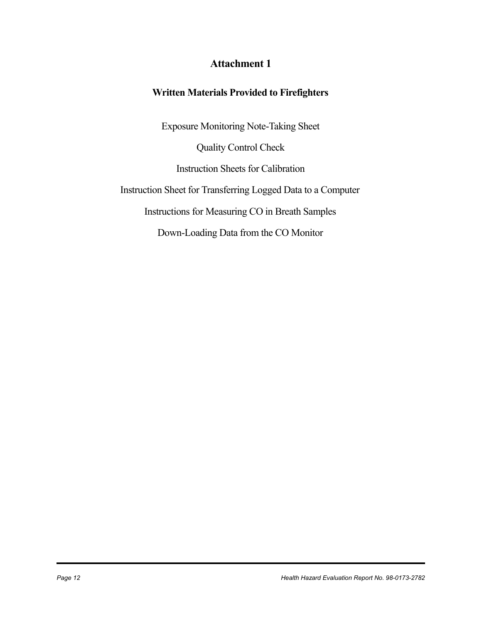### **Attachment 1**

#### **Written Materials Provided to Firefighters**

Exposure Monitoring Note-Taking Sheet Quality Control Check Instruction Sheets for Calibration Instruction Sheet for Transferring Logged Data to a Computer Instructions for Measuring CO in Breath Samples Down-Loading Data from the CO Monitor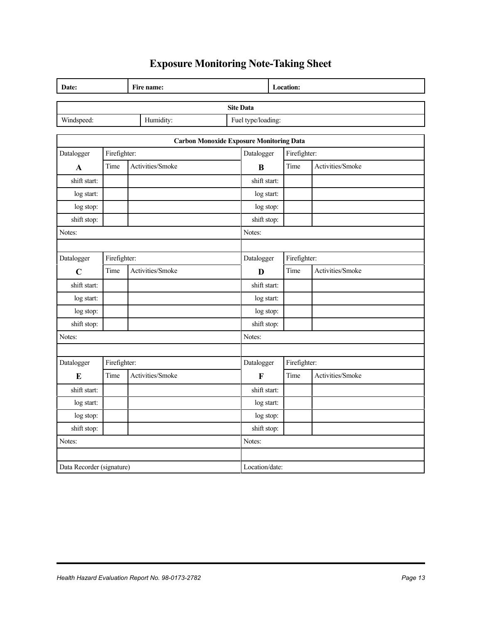## **Exposure Monitoring Note-Taking Sheet**

| Date:                     |              | Fire name:       |                | Location:                                                     |              |                  |  |
|---------------------------|--------------|------------------|----------------|---------------------------------------------------------------|--------------|------------------|--|
| <b>Site Data</b>          |              |                  |                |                                                               |              |                  |  |
| Windspeed:<br>Humidity:   |              |                  |                | Fuel type/loading:                                            |              |                  |  |
|                           |              |                  |                |                                                               |              |                  |  |
|                           |              |                  |                | <b>Carbon Monoxide Exposure Monitoring Data</b><br>Datalogger |              |                  |  |
| Datalogger                | Firefighter: |                  |                |                                                               | Firefighter: |                  |  |
| $\mathbf{A}$              | Time         | Activities/Smoke |                | $\bf{B}$                                                      | Time         | Activities/Smoke |  |
| shift start:              |              |                  |                | shift start:                                                  |              |                  |  |
| log start:                |              |                  |                | log start:                                                    |              |                  |  |
| log stop:                 |              |                  |                | log stop:                                                     |              |                  |  |
| shift stop:               |              |                  |                | shift stop:                                                   |              |                  |  |
| Notes:                    |              |                  |                | Notes:                                                        |              |                  |  |
|                           |              |                  |                |                                                               |              |                  |  |
| Datalogger                | Firefighter: |                  | Datalogger     | Firefighter:                                                  |              |                  |  |
| $\mathbf C$               | Time         | Activities/Smoke |                | D                                                             | Time         | Activities/Smoke |  |
| shift start:              |              |                  |                | shift start:                                                  |              |                  |  |
| log start:                |              |                  |                | log start:                                                    |              |                  |  |
| log stop:                 |              |                  |                | log stop:                                                     |              |                  |  |
| shift stop:               |              |                  |                | shift stop:                                                   |              |                  |  |
| Notes:                    |              |                  | Notes:         |                                                               |              |                  |  |
|                           |              |                  |                |                                                               |              |                  |  |
| Datalogger                | Firefighter: |                  | Datalogger     | Firefighter:                                                  |              |                  |  |
| $\bf{E}$                  | Time         | Activities/Smoke |                | $\mathbf F$                                                   | Time         | Activities/Smoke |  |
| shift start:              |              |                  |                | shift start:                                                  |              |                  |  |
| log start:                |              |                  |                | log start:                                                    |              |                  |  |
| log stop:                 |              |                  |                | log stop:                                                     |              |                  |  |
| shift stop:               |              |                  |                | shift stop:                                                   |              |                  |  |
| Notes:                    |              | Notes:           |                |                                                               |              |                  |  |
|                           |              |                  |                |                                                               |              |                  |  |
| Data Recorder (signature) |              |                  | Location/date: |                                                               |              |                  |  |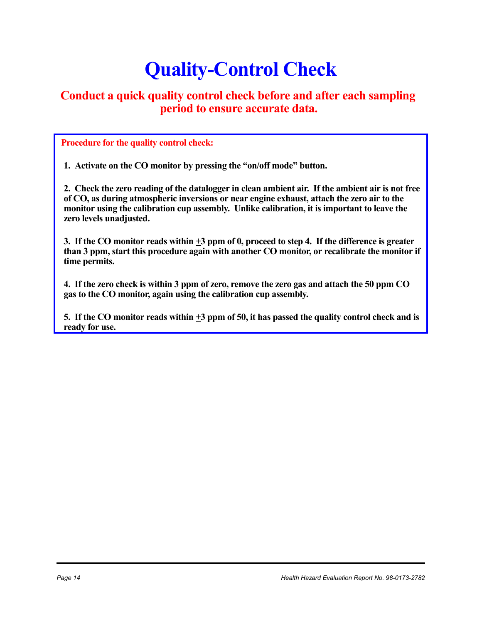# **Quality-Control Check**

### **Conduct a quick quality control check before and after each sampling period to ensure accurate data.**

 **Procedure for the quality control check:**

**1. Activate on the CO monitor by pressing the "on/off mode" button.**

**2. Check the zero reading of the datalogger in clean ambient air. If the ambient air is not free of CO, as during atmospheric inversions or near engine exhaust, attach the zero air to the monitor using the calibration cup assembly. Unlike calibration, it is important to leave the zero levels unadjusted.**

**3. If the CO monitor reads within +3 ppm of 0, proceed to step 4. If the difference is greater than 3 ppm, start this procedure again with another CO monitor, or recalibrate the monitor if time permits.** 

**4. If the zero check is within 3 ppm of zero, remove the zero gas and attach the 50 ppm CO gas to the CO monitor, again using the calibration cup assembly.**

**5. If the CO monitor reads within +3 ppm of 50, it has passed the quality control check and is ready for use.**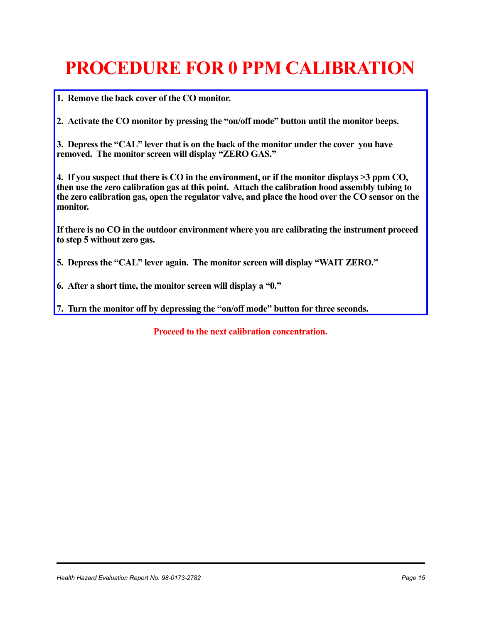# **PROCEDURE FOR 0 PPM CALIBRATION**

**1. Remove the back cover of the CO monitor.**

**2. Activate the CO monitor by pressing the "on/off mode" button until the monitor beeps.**

**3. Depress the "CAL" lever that is on the back of the monitor under the cover you have removed. The monitor screen will display "ZERO GAS."**

**4. If you suspect that there is CO in the environment, or if the monitor displays >3 ppm CO, then use the zero calibration gas at this point. Attach the calibration hood assembly tubing to the zero calibration gas, open the regulator valve, and place the hood over the CO sensor on the monitor.**

**If there is no CO in the outdoor environment where you are calibrating the instrument proceed to step 5 without zero gas.**

**5. Depress the "CAL" lever again. The monitor screen will display "WAIT ZERO."**

**6. After a short time, the monitor screen will display a "0."**

**7. Turn the monitor off by depressing the "on/off mode" button for three seconds.**

**Proceed to the next calibration concentration.**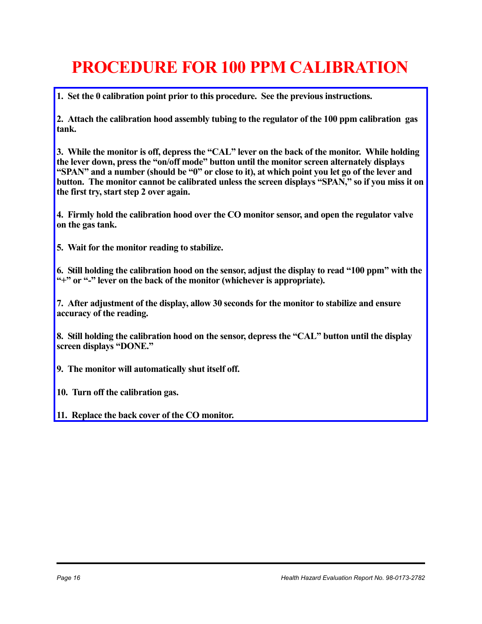# **PROCEDURE FOR 100 PPM CALIBRATION**

**1. Set the 0 calibration point prior to this procedure. See the previous instructions.** 

**2. Attach the calibration hood assembly tubing to the regulator of the 100 ppm calibration gas tank.**

**3. While the monitor is off, depress the "CAL" lever on the back of the monitor. While holding the lever down, press the "on/off mode" button until the monitor screen alternately displays "SPAN" and a number (should be "0" or close to it), at which point you let go of the lever and button. The monitor cannot be calibrated unless the screen displays "SPAN," so if you miss it on the first try, start step 2 over again.**

**4. Firmly hold the calibration hood over the CO monitor sensor, and open the regulator valve on the gas tank.** 

**5. Wait for the monitor reading to stabilize.**

**6. Still holding the calibration hood on the sensor, adjust the display to read "100 ppm" with the "+" or "-" lever on the back of the monitor (whichever is appropriate).**

**7. After adjustment of the display, allow 30 seconds for the monitor to stabilize and ensure accuracy of the reading.**

**8. Still holding the calibration hood on the sensor, depress the "CAL" button until the display screen displays "DONE."**

**9. The monitor will automatically shut itself off.**

**10. Turn off the calibration gas.** 

**11. Replace the back cover of the CO monitor.**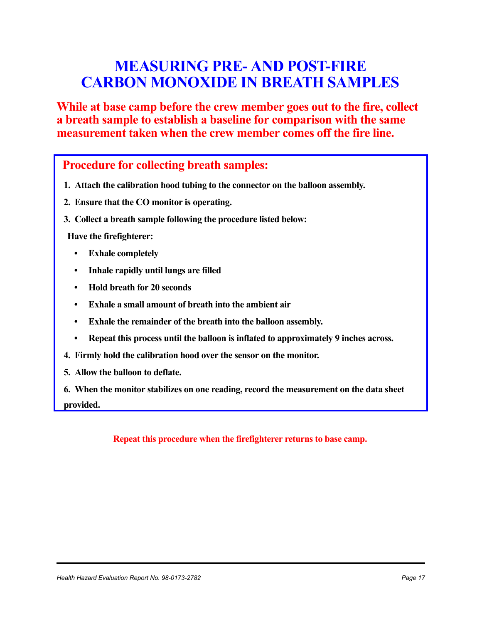## **MEASURING PRE- AND POST-FIRE CARBON MONOXIDE IN BREATH SAMPLES**

**While at base camp before the crew member goes out to the fire, collect a breath sample to establish a baseline for comparison with the same measurement taken when the crew member comes off the fire line.**

 **Procedure for collecting breath samples:**

- **1. Attach the calibration hood tubing to the connector on the balloon assembly.**
- **2. Ensure that the CO monitor is operating.**
- **3. Collect a breath sample following the procedure listed below:**

**Have the firefighterer:**

- **Exhale completely**
- **Inhale rapidly until lungs are filled**
- **Hold breath for 20 seconds**
- **Exhale a small amount of breath into the ambient air**
- **Exhale the remainder of the breath into the balloon assembly.**
- **Repeat this process until the balloon is inflated to approximately 9 inches across.**
- **4. Firmly hold the calibration hood over the sensor on the monitor.**
- **5. Allow the balloon to deflate.**

**6. When the monitor stabilizes on one reading, record the measurement on the data sheet provided.**

**Repeat this procedure when the firefighterer returns to base camp.**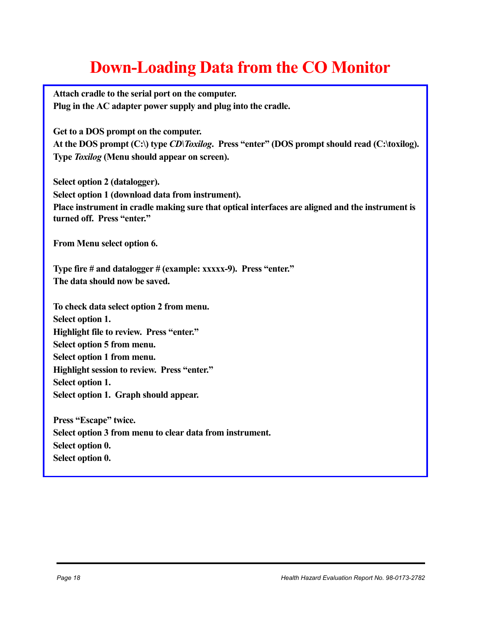# **Down-Loading Data from the CO Monitor**

**Attach cradle to the serial port on the computer. Plug in the AC adapter power supply and plug into the cradle.**

**Get to a DOS prompt on the computer. At the DOS prompt (C:\) type** *CD\Toxilog***. Press "enter" (DOS prompt should read (C:\toxilog). Type** *Toxilog* **(Menu should appear on screen).**

**Select option 2 (datalogger). Select option 1 (download data from instrument). Place instrument in cradle making sure that optical interfaces are aligned and the instrument is turned off. Press "enter."**

**From Menu select option 6.**

**Type fire # and datalogger # (example: xxxxx-9). Press "enter." The data should now be saved.**

**To check data select option 2 from menu. Select option 1. Highlight file to review. Press "enter." Select option 5 from menu. Select option 1 from menu. Highlight session to review. Press "enter." Select option 1. Select option 1. Graph should appear.**

**Press "Escape" twice. Select option 3 from menu to clear data from instrument. Select option 0. Select option 0.**